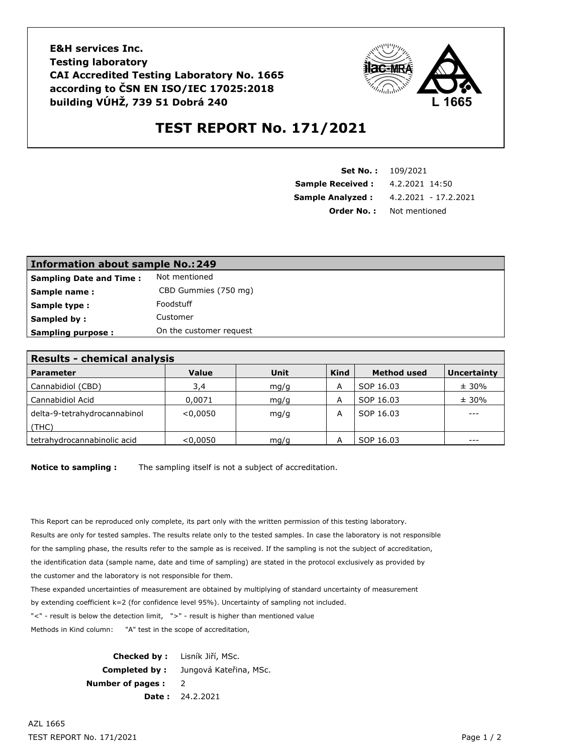**E&H services Inc. Testing laboratory CAI Accredited Testing Laboratory No. 1665 according to ČSN EN ISO/IEC 17025:2018 building VÚHŽ, 739 51 Dobrá 240**



## **TEST REPORT No. 171/2021**

| <b>Set No.:</b> 109/2021 |                        |  |
|--------------------------|------------------------|--|
| <b>Sample Received:</b>  | 4.2.2021 14:50         |  |
| <b>Sample Analyzed:</b>  | $4.2.2021 - 17.2.2021$ |  |
| Order No. :              | Not mentioned          |  |

| Information about sample No.: 249 |                         |  |  |  |
|-----------------------------------|-------------------------|--|--|--|
| <b>Sampling Date and Time:</b>    | Not mentioned           |  |  |  |
| Sample name:                      | CBD Gummies (750 mg)    |  |  |  |
| Sample type :                     | Foodstuff               |  |  |  |
| Sampled by:                       | Customer                |  |  |  |
| <b>Sampling purpose:</b>          | On the customer request |  |  |  |

| <b>Results - chemical analysis</b> |              |             |             |                    |             |  |  |
|------------------------------------|--------------|-------------|-------------|--------------------|-------------|--|--|
| <b>Parameter</b>                   | <b>Value</b> | <b>Unit</b> | <b>Kind</b> | <b>Method used</b> | Uncertainty |  |  |
| Cannabidiol (CBD)                  | 3,4          | mg/g        | A           | SOP 16.03          | ± 30%       |  |  |
| Cannabidiol Acid                   | 0,0071       | mg/g        | A           | SOP 16.03          | ± 30%       |  |  |
| delta-9-tetrahydrocannabinol       | < 0.0050     | mq/q        | А           | SOP 16.03          | $- - -$     |  |  |
| (THE)                              |              |             |             |                    |             |  |  |
| tetrahydrocannabinolic acid        | < 0.0050     | mq/q        | А           | SOP 16.03          | $- - -$     |  |  |

**Notice to sampling :** The sampling itself is not a subject of accreditation.

This Report can be reproduced only complete, its part only with the written permission of this testing laboratory. Results are only for tested samples. The results relate only to the tested samples. In case the laboratory is not responsible for the sampling phase, the results refer to the sample as is received. If the sampling is not the subject of accreditation, the identification data (sample name, date and time of sampling) are stated in the protocol exclusively as provided by the customer and the laboratory is not responsible for them. These expanded uncertainties of measurement are obtained by multiplying of standard uncertainty of measurement by extending coefficient k=2 (for confidence level 95%). Uncertainty of sampling not included. "<" - result is below the detection limit, ">" - result is higher than mentioned value

Methods in Kind column: "A" test in the scope of accreditation,

**Checked by :** Lisník Jiří, MSc. **Completed by :** Jungová Kateřina, MSc. **Number of pages :** 2 **Date :** 24.2.2021